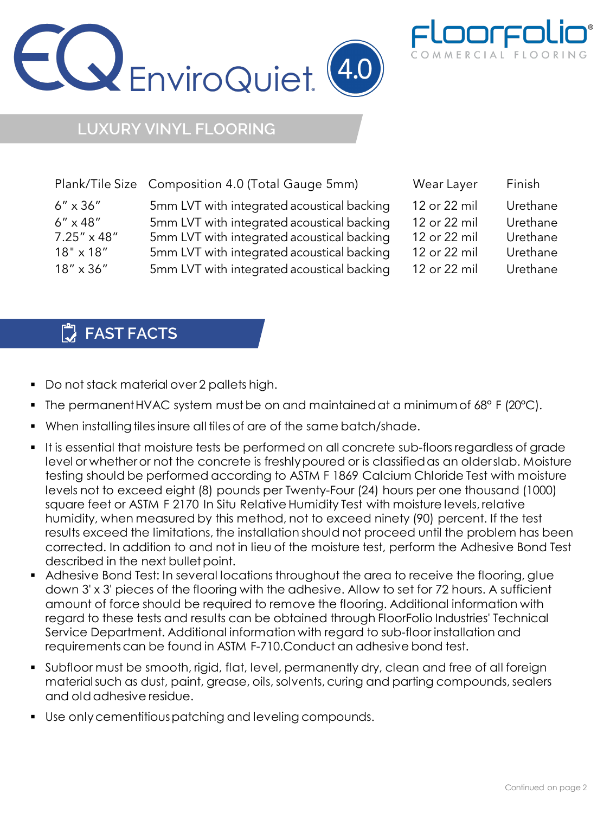



## **LUXURY VINYL FLOORING**

|                      | Plank/Tile Size Composition 4.0 (Total Gauge 5mm) | Wear Layer   | Finish   |
|----------------------|---------------------------------------------------|--------------|----------|
| $6'' \times 36''$    | 5mm LVT with integrated acoustical backing        | 12 or 22 mil | Urethane |
| $6'' \times 48''$    | 5mm LVT with integrated acoustical backing        | 12 or 22 mil | Urethane |
| $7.25'' \times 48''$ | 5mm LVT with integrated acoustical backing        | 12 or 22 mil | Urethane |
| $18" \times 18"$     | 5mm LVT with integrated acoustical backing        | 12 or 22 mil | Urethane |
| $18'' \times 36''$   | 5mm LVT with integrated acoustical backing        | 12 or 22 mil | Urethane |

## **FAST FACTS**

- Do not stack material over 2 pallets high.
- The permanent HVAC system must be on and maintained at a minimum of 68° F (20°C).
- When installing tiles insure all tiles of are of the same batch/shade.
- It is essential that moisture tests be performed on all concrete sub-floors regardless of grade level or whether or not the concrete is freshlypoured or is classifiedas an olderslab. Moisture testing should be performed according to ASTM F 1869 Calcium Chloride Test with moisture levels not to exceed eight (8) pounds per Twenty-Four (24) hours per one thousand (1000) square feet or ASTM F 2170 In Situ Relative Humidity Test with moisture levels, relative humidity, when measured by this method, not to exceed ninety (90) percent. If the test results exceed the limitations, the installation should not proceed until the problem has been corrected. In addition to and not in lieu of the moisture test, perform the Adhesive Bond Test described in the next bullet point.
- Adhesive Bond Test: In several locations throughout the area to receive the flooring, glue down 3' x 3' pieces of the flooring with the adhesive. Allow to set for 72 hours. A sufficient amount of force should be required to remove the flooring. Additional information with regard to these tests and results can be obtained through FloorFolio Industries' Technical Service Department. Additional information with regard to sub-floor installation and requirementscan be found in ASTM F-710.Conduct an adhesive bond test.
- Subfloor must be smooth, rigid, flat, level, permanently dry, clean and free of all foreign material such as dust, paint, grease, oils, solvents, curing and parting compounds, sealers and oldadhesive residue.
- Use onlycementitiouspatching and leveling compounds.